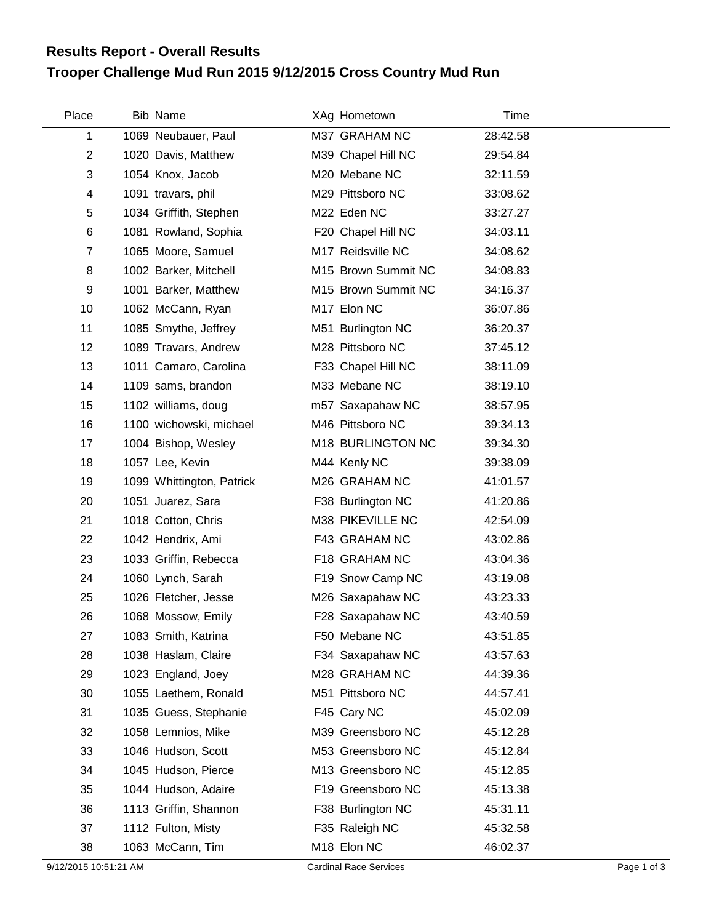## **Trooper Challenge Mud Run 2015 9/12/2015 Cross Country Mud Run Results Report - Overall Results**

| Place | <b>Bib Name</b>           | XAg Hometown        | Time     |
|-------|---------------------------|---------------------|----------|
| 1     | 1069 Neubauer, Paul       | M37 GRAHAM NC       | 28:42.58 |
| 2     | 1020 Davis, Matthew       | M39 Chapel Hill NC  | 29:54.84 |
| 3     | 1054 Knox, Jacob          | M20 Mebane NC       | 32:11.59 |
| 4     | 1091 travars, phil        | M29 Pittsboro NC    | 33:08.62 |
| 5     | 1034 Griffith, Stephen    | M22 Eden NC         | 33:27.27 |
| 6     | 1081 Rowland, Sophia      | F20 Chapel Hill NC  | 34:03.11 |
| 7     | 1065 Moore, Samuel        | M17 Reidsville NC   | 34:08.62 |
| 8     | 1002 Barker, Mitchell     | M15 Brown Summit NC | 34:08.83 |
| 9     | 1001 Barker, Matthew      | M15 Brown Summit NC | 34:16.37 |
| 10    | 1062 McCann, Ryan         | M17 Elon NC         | 36:07.86 |
| 11    | 1085 Smythe, Jeffrey      | M51 Burlington NC   | 36:20.37 |
| 12    | 1089 Travars, Andrew      | M28 Pittsboro NC    | 37:45.12 |
| 13    | 1011 Camaro, Carolina     | F33 Chapel Hill NC  | 38:11.09 |
| 14    | 1109 sams, brandon        | M33 Mebane NC       | 38:19.10 |
| 15    | 1102 williams, doug       | m57 Saxapahaw NC    | 38:57.95 |
| 16    | 1100 wichowski, michael   | M46 Pittsboro NC    | 39:34.13 |
| 17    | 1004 Bishop, Wesley       | M18 BURLINGTON NC   | 39:34.30 |
| 18    | 1057 Lee, Kevin           | M44 Kenly NC        | 39:38.09 |
| 19    | 1099 Whittington, Patrick | M26 GRAHAM NC       | 41:01.57 |
| 20    | 1051 Juarez, Sara         | F38 Burlington NC   | 41:20.86 |
| 21    | 1018 Cotton, Chris        | M38 PIKEVILLE NC    | 42:54.09 |
| 22    | 1042 Hendrix, Ami         | F43 GRAHAM NC       | 43:02.86 |
| 23    | 1033 Griffin, Rebecca     | F18 GRAHAM NC       | 43:04.36 |
| 24    | 1060 Lynch, Sarah         | F19 Snow Camp NC    | 43:19.08 |
| 25    | 1026 Fletcher, Jesse      | M26 Saxapahaw NC    | 43:23.33 |
| 26    | 1068 Mossow, Emily        | F28 Saxapahaw NC    | 43:40.59 |
| 27    | 1083 Smith, Katrina       | F50 Mebane NC       | 43:51.85 |
| 28    | 1038 Haslam, Claire       | F34 Saxapahaw NC    | 43:57.63 |
| 29    | 1023 England, Joey        | M28 GRAHAM NC       | 44:39.36 |
| 30    | 1055 Laethem, Ronald      | M51 Pittsboro NC    | 44:57.41 |
| 31    | 1035 Guess, Stephanie     | F45 Cary NC         | 45:02.09 |
| 32    | 1058 Lemnios, Mike        | M39 Greensboro NC   | 45:12.28 |
| 33    | 1046 Hudson, Scott        | M53 Greensboro NC   | 45:12.84 |
| 34    | 1045 Hudson, Pierce       | M13 Greensboro NC   | 45:12.85 |
| 35    | 1044 Hudson, Adaire       | F19 Greensboro NC   | 45:13.38 |
| 36    | 1113 Griffin, Shannon     | F38 Burlington NC   | 45:31.11 |
| 37    | 1112 Fulton, Misty        | F35 Raleigh NC      | 45:32.58 |
| 38    | 1063 McCann, Tim          | M18 Elon NC         | 46:02.37 |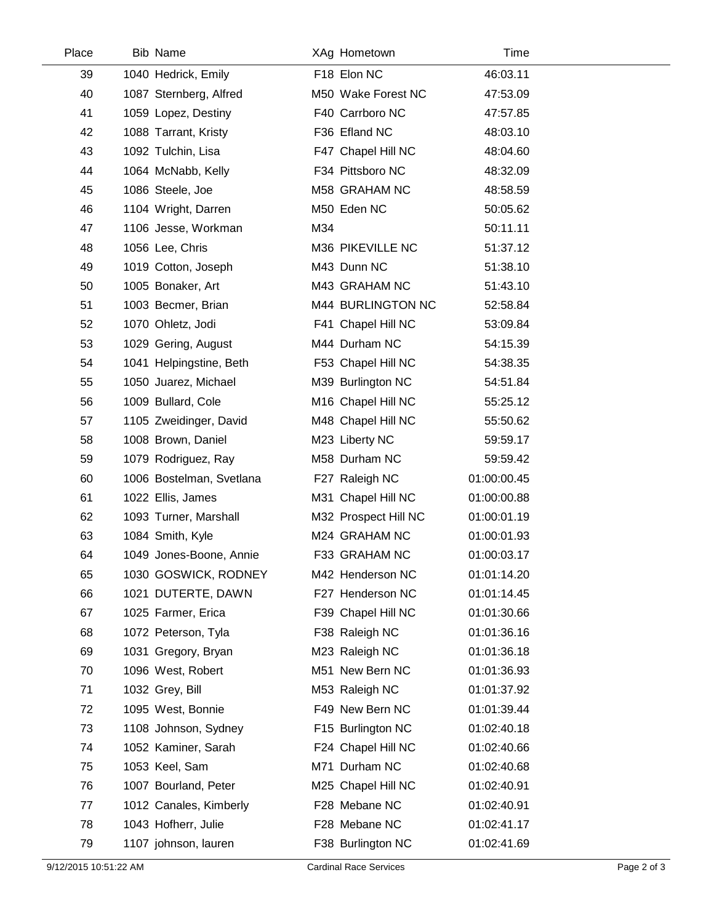| Place | <b>Bib Name</b>          |     | XAg Hometown         | Time        |  |
|-------|--------------------------|-----|----------------------|-------------|--|
| 39    | 1040 Hedrick, Emily      |     | F18 Elon NC          | 46:03.11    |  |
| 40    | 1087 Sternberg, Alfred   |     | M50 Wake Forest NC   | 47:53.09    |  |
| 41    | 1059 Lopez, Destiny      |     | F40 Carrboro NC      | 47:57.85    |  |
| 42    | 1088 Tarrant, Kristy     |     | F36 Efland NC        | 48:03.10    |  |
| 43    | 1092 Tulchin, Lisa       |     | F47 Chapel Hill NC   | 48:04.60    |  |
| 44    | 1064 McNabb, Kelly       |     | F34 Pittsboro NC     | 48:32.09    |  |
| 45    | 1086 Steele, Joe         |     | M58 GRAHAM NC        | 48:58.59    |  |
| 46    | 1104 Wright, Darren      |     | M50 Eden NC          | 50:05.62    |  |
| 47    | 1106 Jesse, Workman      | M34 |                      | 50:11.11    |  |
| 48    | 1056 Lee, Chris          |     | M36 PIKEVILLE NC     | 51:37.12    |  |
| 49    | 1019 Cotton, Joseph      |     | M43 Dunn NC          | 51:38.10    |  |
| 50    | 1005 Bonaker, Art        |     | M43 GRAHAM NC        | 51:43.10    |  |
| 51    | 1003 Becmer, Brian       |     | M44 BURLINGTON NC    | 52:58.84    |  |
| 52    | 1070 Ohletz, Jodi        |     | F41 Chapel Hill NC   | 53:09.84    |  |
| 53    | 1029 Gering, August      |     | M44 Durham NC        | 54:15.39    |  |
| 54    | 1041 Helpingstine, Beth  |     | F53 Chapel Hill NC   | 54:38.35    |  |
| 55    | 1050 Juarez, Michael     |     | M39 Burlington NC    | 54:51.84    |  |
| 56    | 1009 Bullard, Cole       |     | M16 Chapel Hill NC   | 55:25.12    |  |
| 57    | 1105 Zweidinger, David   |     | M48 Chapel Hill NC   | 55:50.62    |  |
| 58    | 1008 Brown, Daniel       |     | M23 Liberty NC       | 59:59.17    |  |
| 59    | 1079 Rodriguez, Ray      |     | M58 Durham NC        | 59:59.42    |  |
| 60    | 1006 Bostelman, Svetlana |     | F27 Raleigh NC       | 01:00:00.45 |  |
| 61    | 1022 Ellis, James        |     | M31 Chapel Hill NC   | 01:00:00.88 |  |
| 62    | 1093 Turner, Marshall    |     | M32 Prospect Hill NC | 01:00:01.19 |  |
| 63    | 1084 Smith, Kyle         |     | M24 GRAHAM NC        | 01:00:01.93 |  |
| 64    | 1049 Jones-Boone, Annie  |     | F33 GRAHAM NC        | 01:00:03.17 |  |
| 65    | 1030 GOSWICK, RODNEY     |     | M42 Henderson NC     | 01:01:14.20 |  |
| 66    | 1021 DUTERTE, DAWN       |     | F27 Henderson NC     | 01:01:14.45 |  |
| 67    | 1025 Farmer, Erica       |     | F39 Chapel Hill NC   | 01:01:30.66 |  |
| 68    | 1072 Peterson, Tyla      |     | F38 Raleigh NC       | 01:01:36.16 |  |
| 69    | 1031 Gregory, Bryan      |     | M23 Raleigh NC       | 01:01:36.18 |  |
| 70    | 1096 West, Robert        |     | M51 New Bern NC      | 01:01:36.93 |  |
| 71    | 1032 Grey, Bill          |     | M53 Raleigh NC       | 01:01:37.92 |  |
| 72    | 1095 West, Bonnie        |     | F49 New Bern NC      | 01:01:39.44 |  |
| 73    | 1108 Johnson, Sydney     |     | F15 Burlington NC    | 01:02:40.18 |  |
| 74    | 1052 Kaminer, Sarah      |     | F24 Chapel Hill NC   | 01:02:40.66 |  |
| 75    | 1053 Keel, Sam           |     | M71 Durham NC        | 01:02:40.68 |  |
| 76    | 1007 Bourland, Peter     |     | M25 Chapel Hill NC   | 01:02:40.91 |  |
| 77    | 1012 Canales, Kimberly   |     | F28 Mebane NC        | 01:02:40.91 |  |
| 78    | 1043 Hofherr, Julie      |     | F28 Mebane NC        | 01:02:41.17 |  |
| 79    | 1107 johnson, lauren     |     | F38 Burlington NC    | 01:02:41.69 |  |